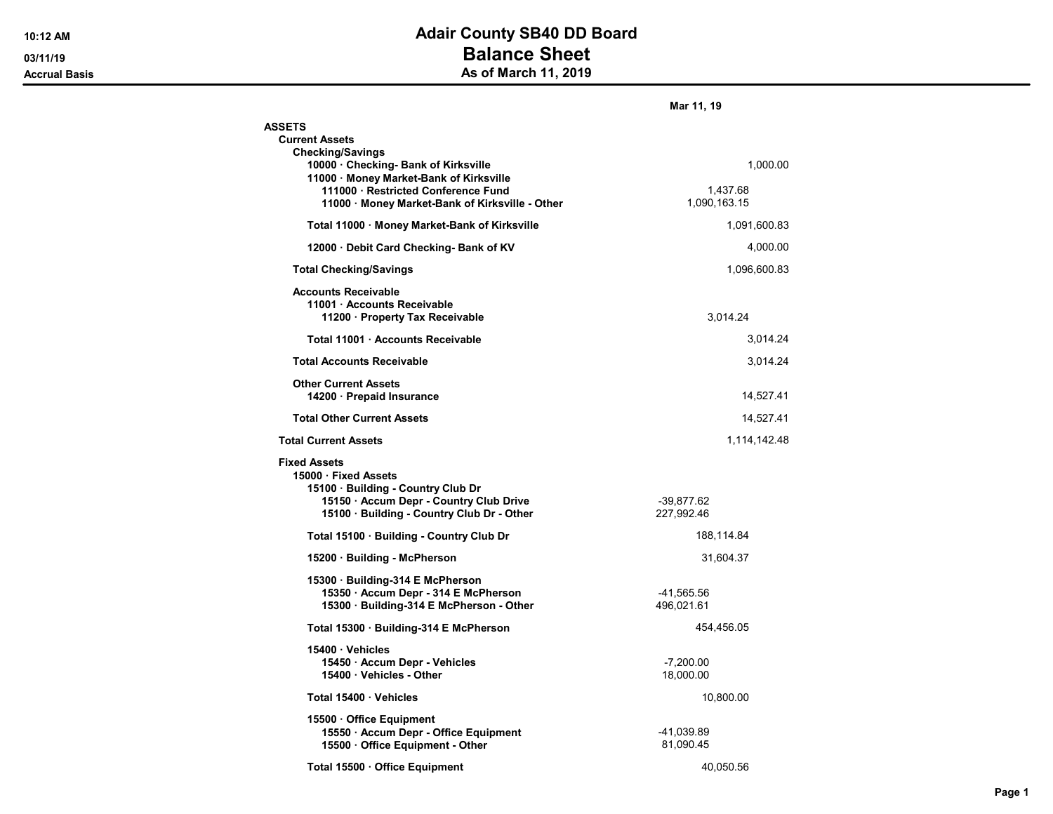## 10:12 AM **Adair County SB40 DD Board** 03/11/19 **Balance Sheet** Accrual Basis **Accrual Basis** As of March 11, 2019

|                                                                                                                              | Mar 11, 19               |
|------------------------------------------------------------------------------------------------------------------------------|--------------------------|
| <b>ASSETS</b>                                                                                                                |                          |
| <b>Current Assets</b><br><b>Checking/Savings</b>                                                                             |                          |
| 10000 Checking- Bank of Kirksville<br>11000 Money Market-Bank of Kirksville                                                  | 1,000.00                 |
| 111000 · Restricted Conference Fund<br>11000 · Money Market-Bank of Kirksville - Other                                       | 1,437.68<br>1,090,163.15 |
| Total 11000 · Money Market-Bank of Kirksville                                                                                | 1,091,600.83             |
| 12000 Debit Card Checking- Bank of KV                                                                                        | 4,000.00                 |
| <b>Total Checking/Savings</b>                                                                                                | 1,096,600.83             |
| <b>Accounts Receivable</b><br>11001 · Accounts Receivable<br>11200 · Property Tax Receivable                                 | 3,014.24                 |
| Total 11001 · Accounts Receivable                                                                                            | 3,014.24                 |
| <b>Total Accounts Receivable</b>                                                                                             | 3,014.24                 |
| <b>Other Current Assets</b><br>14200 · Prepaid Insurance                                                                     | 14,527.41                |
| <b>Total Other Current Assets</b>                                                                                            | 14,527.41                |
| <b>Total Current Assets</b>                                                                                                  | 1,114,142.48             |
| <b>Fixed Assets</b><br>15000 · Fixed Assets<br>15100 · Building - Country Club Dr<br>15150 · Accum Depr - Country Club Drive | $-39,877.62$             |
| 15100 · Building - Country Club Dr - Other                                                                                   | 227,992.46               |
| Total 15100 · Building - Country Club Dr                                                                                     | 188,114.84               |
| 15200 · Building - McPherson                                                                                                 | 31,604.37                |
| 15300 · Building-314 E McPherson<br>15350 · Accum Depr - 314 E McPherson<br>15300 · Building-314 E McPherson - Other         | -41,565.56<br>496,021.61 |
| Total 15300 · Building-314 E McPherson                                                                                       | 454,456.05               |
| 15400 Vehicles<br>15450 Accum Depr - Vehicles<br>15400 Vehicles - Other                                                      | $-7,200.00$<br>18,000.00 |
| Total 15400 · Vehicles                                                                                                       | 10,800.00                |
| 15500 Office Equipment<br>15550 · Accum Depr - Office Equipment<br>15500 Office Equipment - Other                            | -41,039.89<br>81,090.45  |
| Total 15500 · Office Equipment                                                                                               | 40.050.56                |